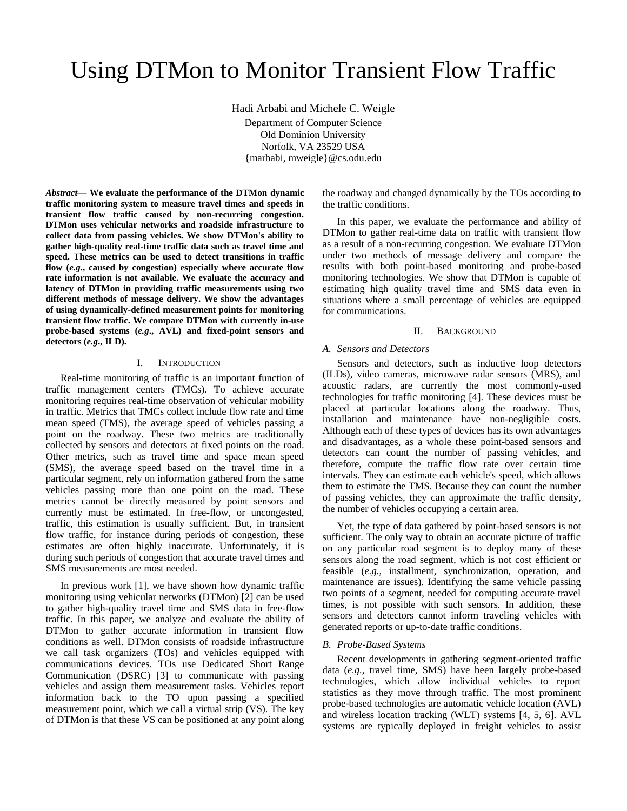# Using DTMon to Monitor Transient Flow Traffic

Hadi Arbabi and Michele C. Weigle

Department of Computer Science Old Dominion University Norfolk, VA 23529 USA {marbabi, mweigle}@cs.odu.edu

*Abstract***— We evaluate the performance of the DTMon dynamic traffic monitoring system to measure travel times and speeds in transient flow traffic caused by non-recurring congestion. DTMon uses vehicular networks and roadside infrastructure to collect data from passing vehicles. We show DTMon's ability to gather high-quality real-time traffic data such as travel time and speed. These metrics can be used to detect transitions in traffic flow (***e.g.***, caused by congestion) especially where accurate flow rate information is not available. We evaluate the accuracy and latency of DTMon in providing traffic measurements using two different methods of message delivery. We show the advantages of using dynamically-defined measurement points for monitoring transient flow traffic. We compare DTMon with currently in-use probe-based systems (***e.g***., AVL) and fixed-point sensors and detectors (***e.g***., ILD).** 

## I. INTRODUCTION

Real-time monitoring of traffic is an important function of traffic management centers (TMCs). To achieve accurate monitoring requires real-time observation of vehicular mobility in traffic. Metrics that TMCs collect include flow rate and time mean speed (TMS), the average speed of vehicles passing a point on the roadway. These two metrics are traditionally collected by sensors and detectors at fixed points on the road. Other metrics, such as travel time and space mean speed (SMS), the average speed based on the travel time in a particular segment, rely on information gathered from the same vehicles passing more than one point on the road. These metrics cannot be directly measured by point sensors and currently must be estimated. In free-flow, or uncongested, traffic, this estimation is usually sufficient. But, in transient flow traffic, for instance during periods of congestion, these estimates are often highly inaccurate. Unfortunately, it is during such periods of congestion that accurate travel times and SMS measurements are most needed.

In previous work [1], we have shown how dynamic traffic monitoring using vehicular networks (DTMon) [2] can be used to gather high-quality travel time and SMS data in free-flow traffic. In this paper, we analyze and evaluate the ability of DTMon to gather accurate information in transient flow conditions as well. DTMon consists of roadside infrastructure we call task organizers (TOs) and vehicles equipped with communications devices. TOs use Dedicated Short Range Communication (DSRC) [3] to communicate with passing vehicles and assign them measurement tasks. Vehicles report information back to the TO upon passing a specified measurement point, which we call a virtual strip (VS). The key of DTMon is that these VS can be positioned at any point along the roadway and changed dynamically by the TOs according to the traffic conditions.

In this paper, we evaluate the performance and ability of DTMon to gather real-time data on traffic with transient flow as a result of a non-recurring congestion. We evaluate DTMon under two methods of message delivery and compare the results with both point-based monitoring and probe-based monitoring technologies. We show that DTMon is capable of estimating high quality travel time and SMS data even in situations where a small percentage of vehicles are equipped for communications.

## II. BACKGROUND

# *A. Sensors and Detectors*

Sensors and detectors, such as inductive loop detectors (ILDs), video cameras, microwave radar sensors (MRS), and acoustic radars, are currently the most commonly-used technologies for traffic monitoring [4]. These devices must be placed at particular locations along the roadway. Thus, installation and maintenance have non-negligible costs. Although each of these types of devices has its own advantages and disadvantages, as a whole these point-based sensors and detectors can count the number of passing vehicles, and therefore, compute the traffic flow rate over certain time intervals. They can estimate each vehicle's speed, which allows them to estimate the TMS. Because they can count the number of passing vehicles, they can approximate the traffic density, the number of vehicles occupying a certain area.

Yet, the type of data gathered by point-based sensors is not sufficient. The only way to obtain an accurate picture of traffic on any particular road segment is to deploy many of these sensors along the road segment, which is not cost efficient or feasible (*e.g.*, installment, synchronization, operation, and maintenance are issues). Identifying the same vehicle passing two points of a segment, needed for computing accurate travel times, is not possible with such sensors. In addition, these sensors and detectors cannot inform traveling vehicles with generated reports or up-to-date traffic conditions.

## *B. Probe-Based Systems*

Recent developments in gathering segment-oriented traffic data (*e.g.*, travel time, SMS) have been largely probe-based technologies, which allow individual vehicles to report statistics as they move through traffic. The most prominent probe-based technologies are automatic vehicle location (AVL) and wireless location tracking (WLT) systems [4, 5, 6]. AVL systems are typically deployed in freight vehicles to assist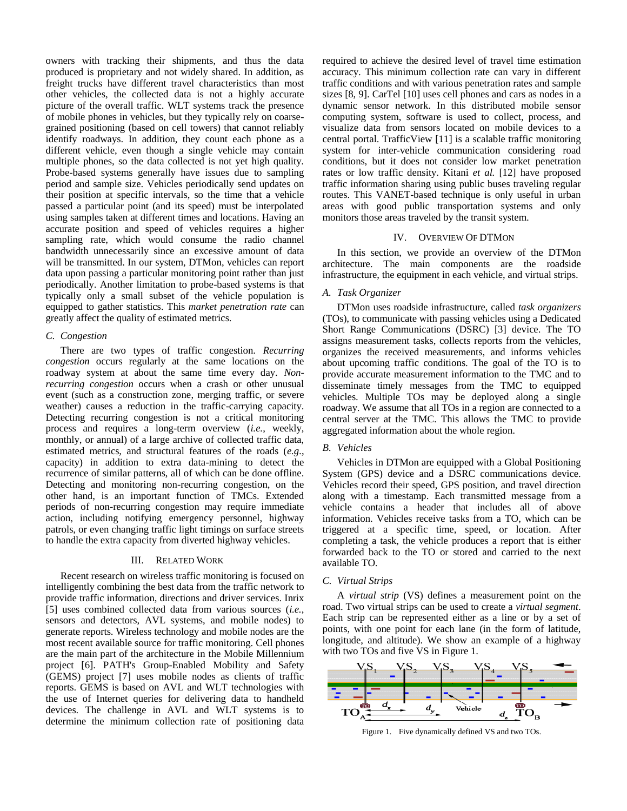owners with tracking their shipments, and thus the data produced is proprietary and not widely shared. In addition, as freight trucks have different travel characteristics than most other vehicles, the collected data is not a highly accurate picture of the overall traffic. WLT systems track the presence of mobile phones in vehicles, but they typically rely on coarsegrained positioning (based on cell towers) that cannot reliably identify roadways. In addition, they count each phone as a different vehicle, even though a single vehicle may contain multiple phones, so the data collected is not yet high quality. Probe-based systems generally have issues due to sampling period and sample size. Vehicles periodically send updates on their position at specific intervals, so the time that a vehicle passed a particular point (and its speed) must be interpolated using samples taken at different times and locations. Having an accurate position and speed of vehicles requires a higher sampling rate, which would consume the radio channel bandwidth unnecessarily since an excessive amount of data will be transmitted. In our system, DTMon, vehicles can report data upon passing a particular monitoring point rather than just periodically. Another limitation to probe-based systems is that typically only a small subset of the vehicle population is equipped to gather statistics. This *market penetration rate* can greatly affect the quality of estimated metrics.

# *C. Congestion*

There are two types of traffic congestion. *Recurring congestion* occurs regularly at the same locations on the roadway system at about the same time every day. *Nonrecurring congestion* occurs when a crash or other unusual event (such as a construction zone, merging traffic, or severe weather) causes a reduction in the traffic-carrying capacity. Detecting recurring congestion is not a critical monitoring process and requires a long-term overview (*i.e.*, weekly, monthly, or annual) of a large archive of collected traffic data, estimated metrics, and structural features of the roads (*e.g.*, capacity) in addition to extra data-mining to detect the recurrence of similar patterns, all of which can be done offline. Detecting and monitoring non-recurring congestion, on the other hand, is an important function of TMCs. Extended periods of non-recurring congestion may require immediate action, including notifying emergency personnel, highway patrols, or even changing traffic light timings on surface streets to handle the extra capacity from diverted highway vehicles.

# III. RELATED WORK

Recent research on wireless traffic monitoring is focused on intelligently combining the best data from the traffic network to provide traffic information, directions and driver services. Inrix [5] uses combined collected data from various sources (*i.e.*, sensors and detectors, AVL systems, and mobile nodes) to generate reports. Wireless technology and mobile nodes are the most recent available source for traffic monitoring. Cell phones are the main part of the architecture in the Mobile Millennium project [6]. PATH's Group-Enabled Mobility and Safety (GEMS) project [7] uses mobile nodes as clients of traffic reports. GEMS is based on AVL and WLT technologies with the use of Internet queries for delivering data to handheld devices. The challenge in AVL and WLT systems is to determine the minimum collection rate of positioning data

required to achieve the desired level of travel time estimation accuracy. This minimum collection rate can vary in different traffic conditions and with various penetration rates and sample sizes [8, 9]. CarTel [10] uses cell phones and cars as nodes in a dynamic sensor network. In this distributed mobile sensor computing system, software is used to collect, process, and visualize data from sensors located on mobile devices to a central portal. TrafficView [11] is a scalable traffic monitoring system for inter-vehicle communication considering road conditions, but it does not consider low market penetration rates or low traffic density. Kitani *et al.* [12] have proposed traffic information sharing using public buses traveling regular routes. This VANET-based technique is only useful in urban areas with good public transportation systems and only monitors those areas traveled by the transit system.

# IV. OVERVIEW OF DTMON

In this section, we provide an overview of the DTMon architecture. The main components are the roadside infrastructure, the equipment in each vehicle, and virtual strips.

# *A. Task Organizer*

DTMon uses roadside infrastructure, called *task organizers* (TOs), to communicate with passing vehicles using a Dedicated Short Range Communications (DSRC) [3] device. The TO assigns measurement tasks, collects reports from the vehicles, organizes the received measurements, and informs vehicles about upcoming traffic conditions. The goal of the TO is to provide accurate measurement information to the TMC and to disseminate timely messages from the TMC to equipped vehicles. Multiple TOs may be deployed along a single roadway. We assume that all TOs in a region are connected to a central server at the TMC. This allows the TMC to provide aggregated information about the whole region.

## *B. Vehicles*

Vehicles in DTMon are equipped with a Global Positioning System (GPS) device and a DSRC communications device. Vehicles record their speed, GPS position, and travel direction along with a timestamp. Each transmitted message from a vehicle contains a header that includes all of above information. Vehicles receive tasks from a TO, which can be triggered at a specific time, speed, or location. After completing a task, the vehicle produces a report that is either forwarded back to the TO or stored and carried to the next available TO.

## *C. Virtual Strips*

A *virtual strip* (VS) defines a measurement point on the road. Two virtual strips can be used to create a *virtual segment*. Each strip can be represented either as a line or by a set of points, with one point for each lane (in the form of latitude, longitude, and altitude). We show an example of a highway with two TOs and five VS in Figure 1.



Figure 1. Five dynamically defined VS and two TOs.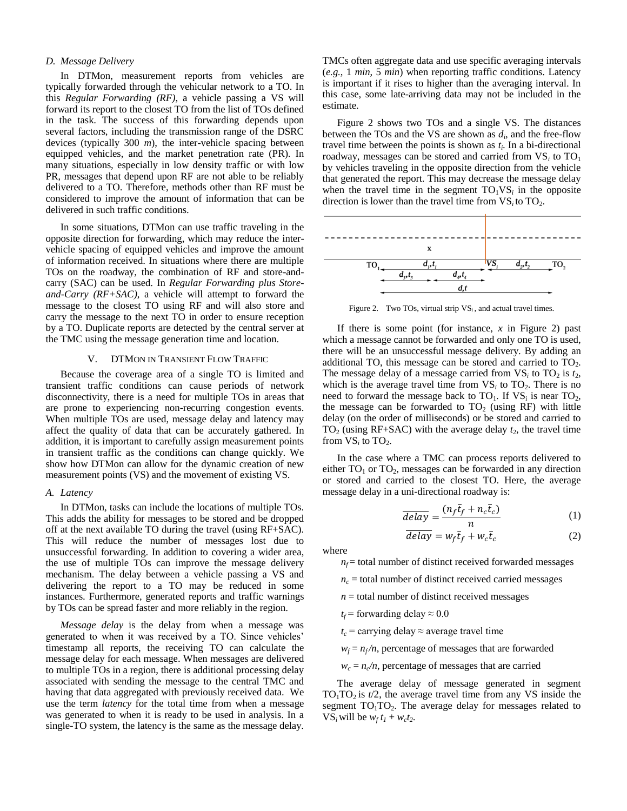# *D. Message Delivery*

In DTMon, measurement reports from vehicles are typically forwarded through the vehicular network to a TO. In this *Regular Forwarding (RF)*, a vehicle passing a VS will forward its report to the closest TO from the list of TOs defined in the task. The success of this forwarding depends upon several factors, including the transmission range of the DSRC devices (typically 300 *m*), the inter-vehicle spacing between equipped vehicles, and the market penetration rate (PR). In many situations, especially in low density traffic or with low PR, messages that depend upon RF are not able to be reliably delivered to a TO. Therefore, methods other than RF must be considered to improve the amount of information that can be delivered in such traffic conditions.

In some situations, DTMon can use traffic traveling in the opposite direction for forwarding, which may reduce the intervehicle spacing of equipped vehicles and improve the amount of information received. In situations where there are multiple TOs on the roadway, the combination of RF and store-andcarry (SAC) can be used. In *Regular Forwarding plus Storeand-Carry (RF+SAC)*, a vehicle will attempt to forward the message to the closest TO using RF and will also store and carry the message to the next TO in order to ensure reception by a TO. Duplicate reports are detected by the central server at the TMC using the message generation time and location.

## V. DTMON IN TRANSIENT FLOW TRAFFIC

Because the coverage area of a single TO is limited and transient traffic conditions can cause periods of network disconnectivity, there is a need for multiple TOs in areas that are prone to experiencing non-recurring congestion events. When multiple TOs are used, message delay and latency may affect the quality of data that can be accurately gathered. In addition, it is important to carefully assign measurement points in transient traffic as the conditions can change quickly. We show how DTMon can allow for the dynamic creation of new measurement points (VS) and the movement of existing VS.

#### *A. Latency*

In DTMon, tasks can include the locations of multiple TOs. This adds the ability for messages to be stored and be dropped off at the next available TO during the travel (using RF+SAC). This will reduce the number of messages lost due to unsuccessful forwarding. In addition to covering a wider area, the use of multiple TOs can improve the message delivery mechanism. The delay between a vehicle passing a VS and delivering the report to a TO may be reduced in some instances. Furthermore, generated reports and traffic warnings by TOs can be spread faster and more reliably in the region.

*Message delay* is the delay from when a message was generated to when it was received by a TO. Since vehicles' timestamp all reports, the receiving TO can calculate the message delay for each message. When messages are delivered to multiple TOs in a region, there is additional processing delay associated with sending the message to the central TMC and having that data aggregated with previously received data. We use the term *latency* for the total time from when a message was generated to when it is ready to be used in analysis. In a single-TO system, the latency is the same as the message delay.

TMCs often aggregate data and use specific averaging intervals (*e.g.*, 1 *min*, 5 *min*) when reporting traffic conditions. Latency is important if it rises to higher than the averaging interval. In this case, some late-arriving data may not be included in the estimate.

Figure 2 shows two TOs and a single VS. The distances between the TOs and the VS are shown as  $d_i$ , and the free-flow travel time between the points is shown as  $t_i$ . In a bi-directional roadway, messages can be stored and carried from  $VS_i$  to  $TO_1$ by vehicles traveling in the opposite direction from the vehicle that generated the report. This may decrease the message delay when the travel time in the segment  $TO<sub>1</sub>VS<sub>i</sub>$  in the opposite direction is lower than the travel time from  $VS_i$  to  $TO_2$ .



Figure 2. Two TOs, virtual strip  $VS_i$ , and actual travel times.

If there is some point (for instance, *x* in Figure 2) past which a message cannot be forwarded and only one TO is used, there will be an unsuccessful message delivery. By adding an additional TO, this message can be stored and carried to  $TO<sub>2</sub>$ . The message delay of a message carried from  $VS_i$  to  $TO_2$  is  $t_2$ , which is the average travel time from  $VS_i$  to  $TO_2$ . There is no need to forward the message back to  $TO_1$ . If  $VS_i$  is near  $TO_2$ , the message can be forwarded to  $TO_2$  (using RF) with little delay (on the order of milliseconds) or be stored and carried to TO<sub>2</sub> (using RF+SAC) with the average delay  $t_2$ , the travel time from  $VS_i$  to  $TO_2$ .

In the case where a TMC can process reports delivered to either  $TO<sub>1</sub>$  or  $TO<sub>2</sub>$ , messages can be forwarded in any direction or stored and carried to the closest TO. Here, the average message delay in a uni-directional roadway is:

$$
\overline{delay} = \frac{(n_f \bar{t}_f + n_c \bar{t}_c)}{n} \tag{1}
$$

$$
\overline{delay} = w_f \bar{t}_f + w_c \bar{t}_c \tag{2}
$$

where

 $n_f$  = total number of distinct received forwarded messages

 $n_c$  = total number of distinct received carried messages

- $n =$  total number of distinct received messages
- $t_f$  = forwarding delay  $\approx 0.0$
- $t_c$  = carrying delay  $\approx$  average travel time
- $w_f = n_f/n$ , percentage of messages that are forwarded
- $w_c = n_c/n$ , percentage of messages that are carried

The average delay of message generated in segment  $TO<sub>1</sub>TO<sub>2</sub>$  is  $t/2$ , the average travel time from any VS inside the segment  $TO<sub>1</sub>TO<sub>2</sub>$ . The average delay for messages related to VS<sub>*i*</sub> will be  $w_f t_1 + w_c t_2$ .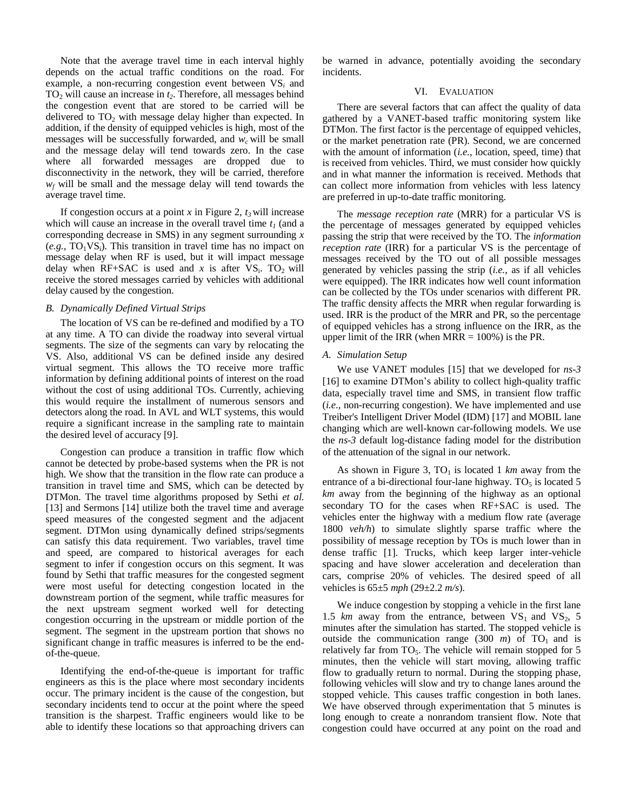Note that the average travel time in each interval highly depends on the actual traffic conditions on the road. For example, a non-recurring congestion event between VS*<sup>i</sup>* and  $TO<sub>2</sub>$  will cause an increase in  $t<sub>2</sub>$ . Therefore, all messages behind the congestion event that are stored to be carried will be delivered to  $TO<sub>2</sub>$  with message delay higher than expected. In addition, if the density of equipped vehicles is high, most of the messages will be successfully forwarded, and  $w_c$  will be small and the message delay will tend towards zero. In the case where all forwarded messages are dropped due to disconnectivity in the network, they will be carried, therefore  $w_f$  will be small and the message delay will tend towards the average travel time.

If congestion occurs at a point  $x$  in Figure 2,  $t_3$  will increase which will cause an increase in the overall travel time  $t<sub>l</sub>$  (and a corresponding decrease in SMS) in any segment surrounding *x*  $(e.g., TO<sub>1</sub>VS<sub>i</sub>)$ . This transition in travel time has no impact on message delay when RF is used, but it will impact message delay when RF+SAC is used and  $x$  is after  $VS_i$ . TO<sub>2</sub> will receive the stored messages carried by vehicles with additional delay caused by the congestion.

## *B. Dynamically Defined Virtual Strips*

The location of VS can be re-defined and modified by a TO at any time. A TO can divide the roadway into several virtual segments. The size of the segments can vary by relocating the VS. Also, additional VS can be defined inside any desired virtual segment. This allows the TO receive more traffic information by defining additional points of interest on the road without the cost of using additional TOs. Currently, achieving this would require the installment of numerous sensors and detectors along the road. In AVL and WLT systems, this would require a significant increase in the sampling rate to maintain the desired level of accuracy [9].

Congestion can produce a transition in traffic flow which cannot be detected by probe-based systems when the PR is not high. We show that the transition in the flow rate can produce a transition in travel time and SMS, which can be detected by DTMon. The travel time algorithms proposed by Sethi *et al.* [13] and Sermons [14] utilize both the travel time and average speed measures of the congested segment and the adjacent segment. DTMon using dynamically defined strips/segments can satisfy this data requirement. Two variables, travel time and speed, are compared to historical averages for each segment to infer if congestion occurs on this segment. It was found by Sethi that traffic measures for the congested segment were most useful for detecting congestion located in the downstream portion of the segment, while traffic measures for the next upstream segment worked well for detecting congestion occurring in the upstream or middle portion of the segment. The segment in the upstream portion that shows no significant change in traffic measures is inferred to be the endof-the-queue.

Identifying the end-of-the-queue is important for traffic engineers as this is the place where most secondary incidents occur. The primary incident is the cause of the congestion, but secondary incidents tend to occur at the point where the speed transition is the sharpest. Traffic engineers would like to be able to identify these locations so that approaching drivers can

be warned in advance, potentially avoiding the secondary incidents.

## VI. EVALUATION

There are several factors that can affect the quality of data gathered by a VANET-based traffic monitoring system like DTMon. The first factor is the percentage of equipped vehicles, or the market penetration rate (PR). Second, we are concerned with the amount of information (*i.e.*, location, speed, time) that is received from vehicles. Third, we must consider how quickly and in what manner the information is received. Methods that can collect more information from vehicles with less latency are preferred in up-to-date traffic monitoring.

The *message reception rate* (MRR) for a particular VS is the percentage of messages generated by equipped vehicles passing the strip that were received by the TO. The *information reception rate* (IRR) for a particular VS is the percentage of messages received by the TO out of all possible messages generated by vehicles passing the strip (*i.e.*, as if all vehicles were equipped). The IRR indicates how well count information can be collected by the TOs under scenarios with different PR. The traffic density affects the MRR when regular forwarding is used. IRR is the product of the MRR and PR, so the percentage of equipped vehicles has a strong influence on the IRR, as the upper limit of the IRR (when  $MRR = 100\%$ ) is the PR.

# *A. Simulation Setup*

We use VANET modules [15] that we developed for *ns-3* [16] to examine DTMon's ability to collect high-quality traffic data, especially travel time and SMS, in transient flow traffic (*i.e*., non-recurring congestion). We have implemented and use Treiber's Intelligent Driver Model (IDM) [17] and MOBIL lane changing which are well-known car-following models. We use the *ns-3* default log-distance fading model for the distribution of the attenuation of the signal in our network.

As shown in Figure 3,  $TO<sub>1</sub>$  is located 1 *km* away from the entrance of a bi-directional four-lane highway.  $TO<sub>5</sub>$  is located 5 *km* away from the beginning of the highway as an optional secondary TO for the cases when RF+SAC is used. The vehicles enter the highway with a medium flow rate (average 1800 *veh/h*) to simulate slightly sparse traffic where the possibility of message reception by TOs is much lower than in dense traffic [1]. Trucks, which keep larger inter-vehicle spacing and have slower acceleration and deceleration than cars, comprise 20% of vehicles. The desired speed of all vehicles is 65±5 *mph* (29±2.2 *m/s*).

We induce congestion by stopping a vehicle in the first lane 1.5  $km$  away from the entrance, between  $VS_1$  and  $VS_2$ , 5 minutes after the simulation has started. The stopped vehicle is outside the communication range  $(300 \text{ m})$  of TO<sub>1</sub> and is relatively far from  $TO<sub>5</sub>$ . The vehicle will remain stopped for 5 minutes, then the vehicle will start moving, allowing traffic flow to gradually return to normal. During the stopping phase, following vehicles will slow and try to change lanes around the stopped vehicle. This causes traffic congestion in both lanes. We have observed through experimentation that 5 minutes is long enough to create a nonrandom transient flow. Note that congestion could have occurred at any point on the road and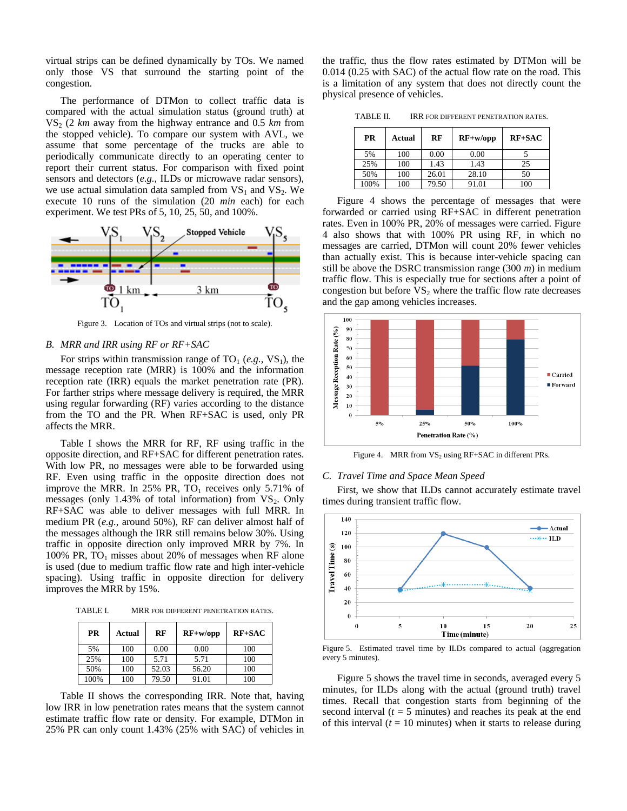virtual strips can be defined dynamically by TOs. We named only those VS that surround the starting point of the congestion.

The performance of DTMon to collect traffic data is compared with the actual simulation status (ground truth) at VS<sup>2</sup> (2 *km* away from the highway entrance and 0.5 *km* from the stopped vehicle). To compare our system with AVL, we assume that some percentage of the trucks are able to periodically communicate directly to an operating center to report their current status. For comparison with fixed point sensors and detectors (*e.g.*, ILDs or microwave radar sensors), we use actual simulation data sampled from  $VS_1$  and  $VS_2$ . We execute 10 runs of the simulation (20 *min* each) for each experiment. We test PRs of 5, 10, 25, 50, and 100%.



Figure 3. Location of TOs and virtual strips (not to scale).

## *B. MRR and IRR using RF or RF+SAC*

For strips within transmission range of  $TO_1$  (*e.g.*,  $VS_1$ ), the message reception rate (MRR) is 100% and the information reception rate (IRR) equals the market penetration rate (PR). For farther strips where message delivery is required, the MRR using regular forwarding (RF) varies according to the distance from the TO and the PR. When RF+SAC is used, only PR affects the MRR.

Table I shows the MRR for RF, RF using traffic in the opposite direction, and RF+SAC for different penetration rates. With low PR, no messages were able to be forwarded using RF. Even using traffic in the opposite direction does not improve the MRR. In 25% PR,  $TO_1$  receives only 5.71% of messages (only  $1.43\%$  of total information) from  $VS<sub>2</sub>$ . Only RF+SAC was able to deliver messages with full MRR. In medium PR (*e.g.*, around 50%), RF can deliver almost half of the messages although the IRR still remains below 30%. Using traffic in opposite direction only improved MRR by 7%. In 100% PR,  $TO_1$  misses about 20% of messages when RF alone is used (due to medium traffic flow rate and high inter-vehicle spacing). Using traffic in opposite direction for delivery improves the MRR by 15%.

TABLE I. MRR FOR DIFFERENT PENETRATION RATES.

| PR   | Actual | RF    | $RF+w/opp$ | $RF+SAC$ |
|------|--------|-------|------------|----------|
| 5%   | 100    | 0.00  | 0.00       | 100      |
| 25%  | 100    | 5.71  | 5.71       | 100      |
| 50%  | 100    | 52.03 | 56.20      | 100      |
| 100% | 100    | 79.50 | 91.01      | 100      |

Table II shows the corresponding IRR. Note that, having low IRR in low penetration rates means that the system cannot estimate traffic flow rate or density. For example, DTMon in 25% PR can only count 1.43% (25% with SAC) of vehicles in the traffic, thus the flow rates estimated by DTMon will be 0.014 (0.25 with SAC) of the actual flow rate on the road. This is a limitation of any system that does not directly count the physical presence of vehicles.

TABLE II. IRR FOR DIFFERENT PENETRATION RATES.

| <b>PR</b> | Actual | RF    | $RF+w/opp$ | $RF+SAC$ |
|-----------|--------|-------|------------|----------|
| 5%        | 100    | 0.00  | 0.00       |          |
| 25%       | 100    | 1.43  | 1.43       | 25       |
| 50%       | 100    | 26.01 | 28.10      | 50       |
| 100%      | 100    | 79.50 | 91.01      | 100      |

Figure 4 shows the percentage of messages that were forwarded or carried using RF+SAC in different penetration rates. Even in 100% PR, 20% of messages were carried. Figure 4 also shows that with 100% PR using RF, in which no messages are carried, DTMon will count 20% fewer vehicles than actually exist. This is because inter-vehicle spacing can still be above the DSRC transmission range (300 *m*) in medium traffic flow. This is especially true for sections after a point of congestion but before  $VS_2$  where the traffic flow rate decreases and the gap among vehicles increases.



Figure 4. MRR from  $VS_2$  using RF+SAC in different PRs.

#### *C. Travel Time and Space Mean Speed*

First, we show that ILDs cannot accurately estimate travel times during transient traffic flow.



Figure 5. Estimated travel time by ILDs compared to actual (aggregation every 5 minutes).

Figure 5 shows the travel time in seconds, averaged every 5 minutes, for ILDs along with the actual (ground truth) travel times. Recall that congestion starts from beginning of the second interval  $(t = 5 \text{ minutes})$  and reaches its peak at the end of this interval  $(t = 10 \text{ minutes})$  when it starts to release during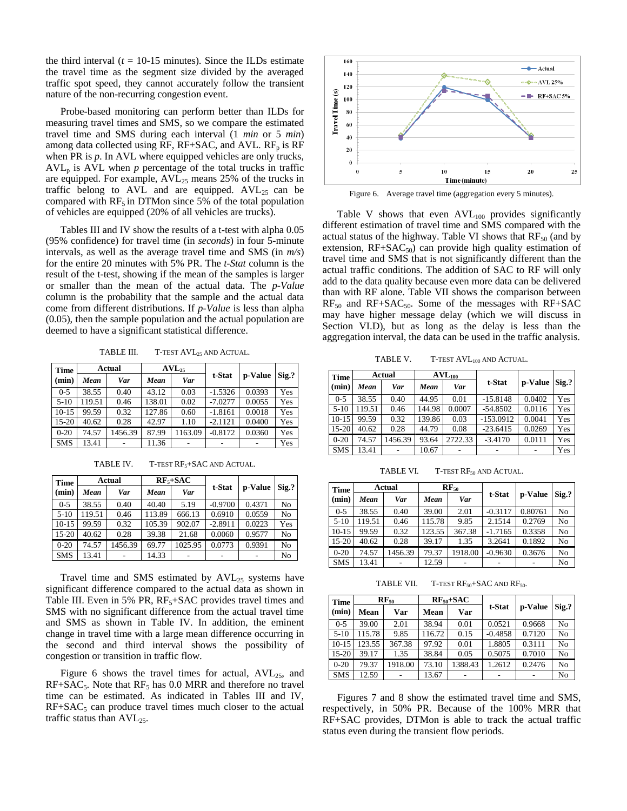the third interval  $(t = 10-15$  minutes). Since the ILDs estimate the travel time as the segment size divided by the averaged traffic spot speed, they cannot accurately follow the transient nature of the non-recurring congestion event.

Probe-based monitoring can perform better than ILDs for measuring travel times and SMS, so we compare the estimated travel time and SMS during each interval (1 *min* or 5 *min*) among data collected using RF, RF+SAC, and AVL.  $RF_p$  is RF when PR is *p*. In AVL where equipped vehicles are only trucks,  $AVL<sub>p</sub>$  is AVL when  $p$  percentage of the total trucks in traffic are equipped. For example,  $AVL_{25}$  means 25% of the trucks in traffic belong to AVL and are equipped.  $AVL_{25}$  can be compared with  $RF_5$  in DTMon since 5% of the total population of vehicles are equipped (20% of all vehicles are trucks).

Tables III and IV show the results of a t-test with alpha 0.05 (95% confidence) for travel time (in *seconds*) in four 5-minute intervals, as well as the average travel time and SMS (in *m/s*) for the entire 20 minutes with 5% PR. The *t-Stat* column is the result of the t-test, showing if the mean of the samples is larger or smaller than the mean of the actual data. The *p-Value* column is the probability that the sample and the actual data come from different distributions. If *p-Value* is less than alpha (0.05), then the sample population and the actual population are deemed to have a significant statistical difference.

TABLE III. T-TEST AVL<sub>25</sub> AND ACTUAL.

| Time       |        | Actual  |        | AVL <sub>25</sub> |           | p-Value | Sig. |
|------------|--------|---------|--------|-------------------|-----------|---------|------|
| (min)      | Mean   | Var     | Mean   | Var               | t-Stat    |         |      |
| $0 - 5$    | 38.55  | 0.40    | 43.12  | 0.03              | $-1.5326$ | 0.0393  | Yes  |
| $5-10$     | 119.51 | 0.46    | 138.01 | 0.02              | $-7.0277$ | 0.0055  | Yes  |
| $10-15$    | 99.59  | 0.32    | 127.86 | 0.60              | $-1.8161$ | 0.0018  | Yes  |
| $15-20$    | 40.62  | 0.28    | 42.97  | 1.10              | $-2.1121$ | 0.0400  | Yes  |
| $0 - 20$   | 74.57  | 1456.39 | 87.99  | 1163.09           | $-0.8172$ | 0.0360  | Yes  |
| <b>SMS</b> | 13.41  |         | 11.36  |                   |           |         | Yes  |

TABLE IV. T-TEST RF<sub>5</sub>+SAC AND ACTUAL.

| Time       |        | Actual  |        | $RF5+SAC$ |           |         |       |
|------------|--------|---------|--------|-----------|-----------|---------|-------|
| (min)      | Mean   | Var     | Mean   | Var       | t-Stat    | p-Value | Size. |
| $0 - 5$    | 38.55  | 0.40    | 40.40  | 5.19      | $-0.9700$ | 0.4371  | No    |
| $5-10$     | 119.51 | 0.46    | 113.89 | 666.13    | 0.6910    | 0.0559  | No    |
| $10-15$    | 99.59  | 0.32    | 105.39 | 902.07    | $-2.8911$ | 0.0223  | Yes   |
| $15-20$    | 40.62  | 0.28    | 39.38  | 21.68     | 0.0060    | 0.9577  | No    |
| $0 - 20$   | 74.57  | 1456.39 | 69.77  | 1025.95   | 0.0773    | 0.9391  | No    |
| <b>SMS</b> | 13.41  |         | 14.33  |           |           |         | No    |

Travel time and SMS estimated by  $AVL<sub>25</sub>$  systems have significant difference compared to the actual data as shown in Table III. Even in 5% PR,  $RF_5+SAC$  provides travel times and SMS with no significant difference from the actual travel time and SMS as shown in Table IV. In addition, the eminent change in travel time with a large mean difference occurring in the second and third interval shows the possibility of congestion or transition in traffic flow.

Figure 6 shows the travel times for actual,  $AVL_{25}$ , and  $RF+SAC_5$ . Note that  $RF_5$  has 0.0 MRR and therefore no travel time can be estimated. As indicated in Tables III and IV,  $RF+SAC<sub>5</sub>$  can produce travel times much closer to the actual traffic status than  $AVL<sub>25</sub>$ .



Figure 6. Average travel time (aggregation every 5 minutes).

Table V shows that even  $AVL<sub>100</sub>$  provides significantly different estimation of travel time and SMS compared with the actual status of the highway. Table VI shows that  $RF_{50}$  (and by extension,  $RF+SAC_{50}$  can provide high quality estimation of travel time and SMS that is not significantly different than the actual traffic conditions. The addition of SAC to RF will only add to the data quality because even more data can be delivered than with RF alone. Table VII shows the comparison between  $RF_{50}$  and  $RF+SAC_{50}$ . Some of the messages with  $RF+SAC$ may have higher message delay (which we will discuss in Section VI.D), but as long as the delay is less than the aggregation interval, the data can be used in the traffic analysis.

TABLE V. T-TEST AVL<sub>100</sub> AND ACTUAL.

| Time       |        | Actual  |        | AVL <sub>100</sub> | t-Stat      |         |      |
|------------|--------|---------|--------|--------------------|-------------|---------|------|
| (min)      | Mean   | Var     | Mean   | Var                |             | p-Value | Sig. |
| $0 - 5$    | 38.55  | 0.40    | 44.95  | 0.01               | $-15.8148$  | 0.0402  | Yes  |
| $5-10$     | 119.51 | 0.46    | 144.98 | 0.0007             | $-54.8502$  | 0.0116  | Yes  |
| $10-15$    | 99.59  | 0.32    | 139.86 | 0.03               | $-153.0912$ | 0.0041  | Yes  |
| $15 - 20$  | 40.62  | 0.28    | 44.79  | 0.08               | $-23.6415$  | 0.0269  | Yes  |
| $0 - 20$   | 74.57  | 1456.39 | 93.64  | 2722.33            | $-3.4170$   | 0.0111  | Yes  |
| <b>SMS</b> | 13.41  |         | 10.67  |                    |             |         | Yes  |

TABLE VI. T-TEST RF<sub>50</sub> AND ACTUAL.

| Time       |        | Actual  |        | $RF_{50}$ |           | p-Value | Sig.           |
|------------|--------|---------|--------|-----------|-----------|---------|----------------|
| (min)      | Mean   | Var     | Mean   | Var       | t-Stat    |         |                |
| $0 - 5$    | 38.55  | 0.40    | 39.00  | 2.01      | $-0.3117$ | 0.80761 | N <sub>o</sub> |
| $5-10$     | 119.51 | 0.46    | 115.78 | 9.85      | 2.1514    | 0.2769  | N <sub>0</sub> |
| $10-15$    | 99.59  | 0.32    | 123.55 | 367.38    | $-1.7165$ | 0.3358  | N <sub>0</sub> |
| $15 - 20$  | 40.62  | 0.28    | 39.17  | 1.35      | 3.2641    | 0.1892  | No             |
| $0 - 20$   | 74.57  | 1456.39 | 79.37  | 1918.00   | $-0.9630$ | 0.3676  | No             |
| <b>SMS</b> | 13.41  |         | 12.59  |           |           |         | No             |

TABLE VII. T-TEST  $RF_{50}+SAC$  AND  $RF_{50}$ .

| Time       |        | $RF_{50}$ |        | $RF_{50}+SAC$ |           |         |                |
|------------|--------|-----------|--------|---------------|-----------|---------|----------------|
| (min)      | Mean   | Var       | Mean   | Var           | t-Stat    | p-Value | Sig.           |
| $0-5$      | 39.00  | 2.01      | 38.94  | 0.01          | 0.0521    | 0.9668  | No             |
| $5-10$     | 115.78 | 9.85      | 116.72 | 0.15          | $-0.4858$ | 0.7120  | No             |
| $10-15$    | 123.55 | 367.38    | 97.92  | 0.01          | 1.8805    | 0.3111  | No             |
| $15 - 20$  | 39.17  | 1.35      | 38.84  | 0.05          | 0.5075    | 0.7010  | No             |
| $0 - 20$   | 79.37  | 1918.00   | 73.10  | 1388.43       | 1.2612    | 0.2476  | N <sub>o</sub> |
| <b>SMS</b> | 12.59  | ۰         | 13.67  |               |           |         | No             |

Figures 7 and 8 show the estimated travel time and SMS, respectively, in 50% PR. Because of the 100% MRR that RF+SAC provides, DTMon is able to track the actual traffic status even during the transient flow periods.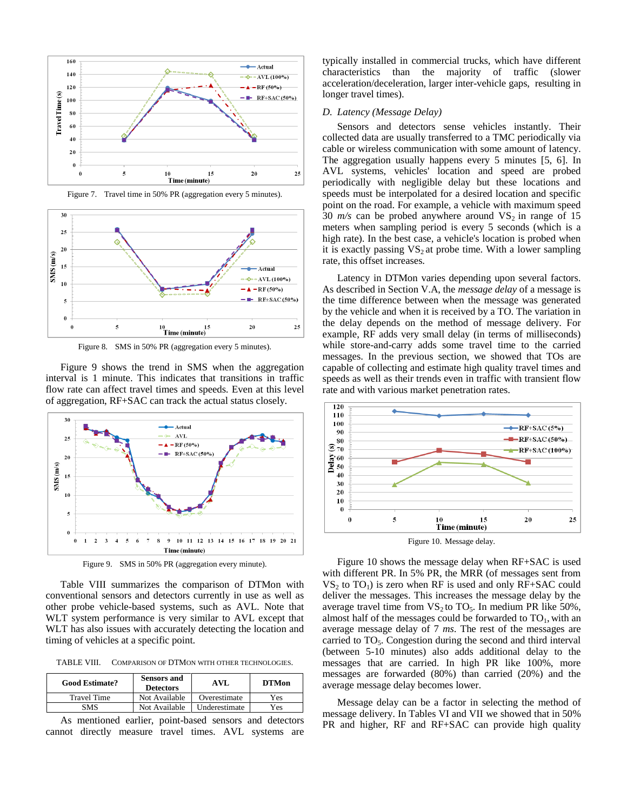

Figure 7. Travel time in 50% PR (aggregation every 5 minutes).



Figure 8. SMS in 50% PR (aggregation every 5 minutes).

Figure 9 shows the trend in SMS when the aggregation interval is 1 minute. This indicates that transitions in traffic flow rate can affect travel times and speeds. Even at this level of aggregation, RF+SAC can track the actual status closely.



Figure 9. SMS in 50% PR (aggregation every minute).

Table VIII summarizes the comparison of DTMon with conventional sensors and detectors currently in use as well as other probe vehicle-based systems, such as AVL. Note that WLT system performance is very similar to AVL except that WLT has also issues with accurately detecting the location and timing of vehicles at a specific point.

TABLE VIII. COMPARISON OF DTMON WITH OTHER TECHNOLOGIES.

| <b>Good Estimate?</b> | <b>Sensors and</b><br><b>Detectors</b> | AVI.          | <b>DTMon</b> |
|-----------------------|----------------------------------------|---------------|--------------|
| <b>Travel Time</b>    | Not Available                          | Overestimate  | Yes          |
| SMS                   | Not Available                          | Underestimate | Yes          |

As mentioned earlier, point-based sensors and detectors cannot directly measure travel times. AVL systems are

typically installed in commercial trucks, which have different characteristics than the majority of traffic (slower acceleration/deceleration, larger inter-vehicle gaps, resulting in longer travel times).

## *D. Latency (Message Delay)*

Sensors and detectors sense vehicles instantly. Their collected data are usually transferred to a TMC periodically via cable or wireless communication with some amount of latency. The aggregation usually happens every 5 minutes [5, 6]. In AVL systems, vehicles' location and speed are probed periodically with negligible delay but these locations and speeds must be interpolated for a desired location and specific point on the road. For example, a vehicle with maximum speed 30  $m/s$  can be probed anywhere around  $VS_2$  in range of 15 meters when sampling period is every 5 seconds (which is a high rate). In the best case, a vehicle's location is probed when it is exactly passing  $VS_2$  at probe time. With a lower sampling rate, this offset increases.

Latency in DTMon varies depending upon several factors. As described in Section V.A, the *message delay* of a message is the time difference between when the message was generated by the vehicle and when it is received by a TO. The variation in the delay depends on the method of message delivery. For example, RF adds very small delay (in terms of milliseconds) while store-and-carry adds some travel time to the carried messages. In the previous section, we showed that TOs are capable of collecting and estimate high quality travel times and speeds as well as their trends even in traffic with transient flow rate and with various market penetration rates.



Figure 10 shows the message delay when RF+SAC is used with different PR. In 5% PR, the MRR (of messages sent from  $VS<sub>2</sub>$  to TO<sub>1</sub>) is zero when RF is used and only RF+SAC could deliver the messages. This increases the message delay by the average travel time from  $VS_2$  to TO<sub>5</sub>. In medium PR like 50%, almost half of the messages could be forwarded to  $TO<sub>1</sub>$ , with an average message delay of 7 *ms*. The rest of the messages are carried to  $TO<sub>5</sub>$ . Congestion during the second and third interval (between 5-10 minutes) also adds additional delay to the messages that are carried. In high PR like 100%, more messages are forwarded (80%) than carried (20%) and the average message delay becomes lower.

Message delay can be a factor in selecting the method of message delivery. In Tables VI and VII we showed that in 50% PR and higher, RF and RF+SAC can provide high quality